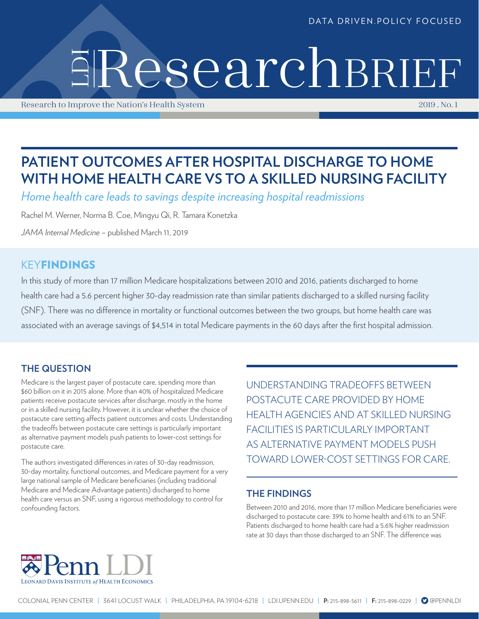#### DATA DRIVEN.POLICY FOCUSED

# LDI ResearchBRIEF

Research to Improve the Nation's Health System 2019 . No. 1

# **PATIENT OUTCOMES AFTER HOSPITAL DISCHARGE TO HOME WITH HOME HEALTH CARE VS TO A SKILLED NURSING FACILITY**

*Home health care leads to savings despite increasing hospital readmissions*

Rachel M. Werner, Norma B. Coe, Mingyu Qi, R. Tamara Konetzka

*JAMA Internal Medicine* – published March 11, 2019

# KEYFINDINGS

In this study of more than 17 million Medicare hospitalizations between 2010 and 2016, patients discharged to home health care had a 5.6 percent higher 30-day readmission rate than similar patients discharged to a skilled nursing facility (SNF). There was no difference in mortality or functional outcomes between the two groups, but home health care was associated with an average savings of \$4,514 in total Medicare payments in the 60 days after the first hospital admission.

## **THE QUESTION**

Medicare is the largest payer of postacute care, spending more than \$60 billion on it in 2015 alone. More than 40% of hospitalized Medicare patients receive postacute services after discharge, mostly in the home or in a skilled nursing facility. However, it is unclear whether the choice of postacute care setting affects patient outcomes and costs. Understanding the tradeoffs between postacute care settings is particularly important as alternative payment models push patients to lower-cost settings for postacute care.

The authors investigated differences in rates of 30-day readmission, 30-day mortality, functional outcomes, and Medicare payment for a very large national sample of Medicare beneficiaries (including traditional Medicare and Medicare Advantage patients) discharged to home health care versus an SNF, using a rigorous methodology to control for confounding factors.

UNDERSTANDING TRADEOFFS BETWEEN POSTACUTE CARE PROVIDED BY HOME HEALTH AGENCIES AND AT SKILLED NURSING FACILITIES IS PARTICULARLY IMPORTANT AS ALTERNATIVE PAYMENT MODELS PUSH TOWARD LOWER-COST SETTINGS FOR CARE.

#### **THE FINDINGS**

Between 2010 and 2016, more than 17 million Medicare beneficiaries were discharged to postacute care: 39% to home health and 61% to an SNF. Patients discharged to home health care had a 5.6% higher readmission rate at 30 days than those discharged to an SNF. The difference was